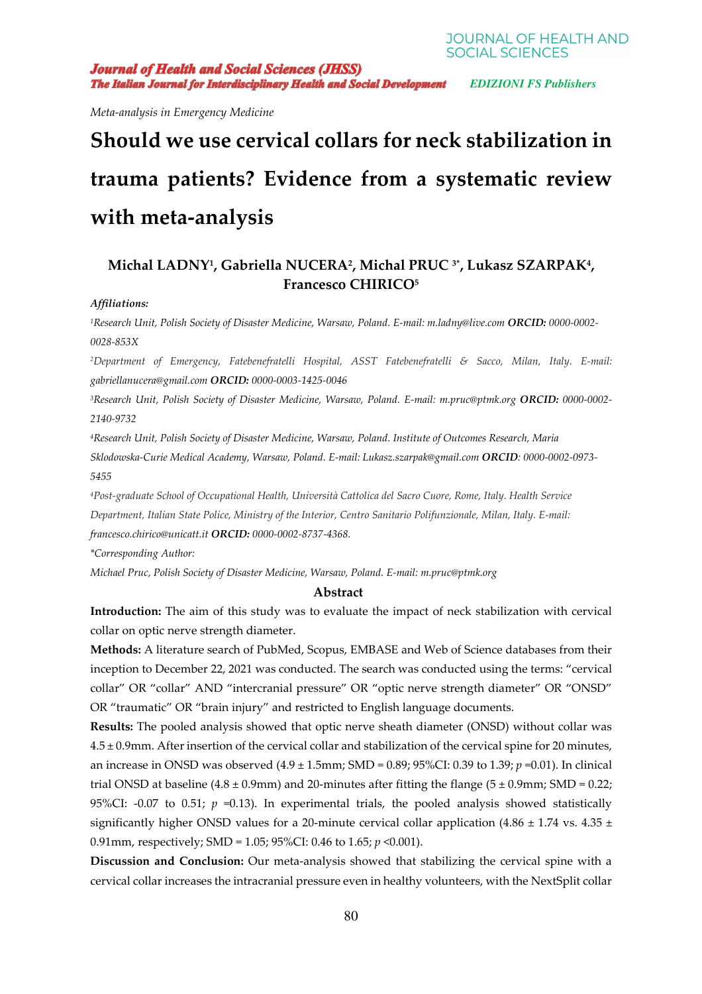**JOURNAL OF HEALTH AND SOCIAL SCIENCES** 

**Journal of Health and Social Sciences (JHSS)** The Italian Journal for Interdisciplinary Health and Social Development

 *EDIZIONI FS Publishers* 

*Meta-analysis in Emergency Medicine* 

# **Should we use cervical collars for neck stabilization in trauma patients? Evidence from a systematic review with meta-analysis**

# **Michal LADNY<sup>1</sup> , Gabriella NUCERA<sup>2</sup> , Michal PRUC 3\*, Lukasz SZARPAK<sup>4</sup> , Francesco CHIRICO<sup>5</sup>**

#### *Affiliations:*

*<sup>1</sup>Research Unit, Polish Society of Disaster Medicine, Warsaw, Poland. E-mail: m.ladny@live.com ORCID: 0000-0002- 0028-853X* 

*<sup>2</sup>Department of Emergency, Fatebenefratelli Hospital, ASST Fatebenefratelli & Sacco, Milan, Italy. E-mail: gabriellanucera@gmail.com ORCID: 0000-0003-1425-0046* 

*<sup>3</sup>Research Unit, Polish Society of Disaster Medicine, Warsaw, Poland. E-mail: m.pruc@ptmk.org ORCID: 0000-0002- 2140-9732* 

*<sup>4</sup>Research Unit, Polish Society of Disaster Medicine, Warsaw, Poland. Institute of Outcomes Research, Maria Sklodowska-Curie Medical Academy, Warsaw, Poland. E-mail: Lukasz.szarpak@gmail.com ORCID: 0000-0002-0973- 5455* 

*<sup>4</sup>Post-graduate School of Occupational Health, Università Cattolica del Sacro Cuore, Rome, Italy. Health Service Department, Italian State Police, Ministry of the Interior, Centro Sanitario Polifunzionale, Milan, Italy. E-mail: francesco.chirico@unicatt.it ORCID: 0000-0002-8737-4368.*

*\*Corresponding Author:* 

*Michael Pruc, Polish Society of Disaster Medicine, Warsaw, Poland. E-mail: m.pruc@ptmk.org* 

#### **Abstract**

**Introduction:** The aim of this study was to evaluate the impact of neck stabilization with cervical collar on optic nerve strength diameter.

**Methods:** A literature search of PubMed, Scopus, EMBASE and Web of Science databases from their inception to December 22, 2021 was conducted. The search was conducted using the terms: "cervical collar" OR "collar" AND "intercranial pressure" OR "optic nerve strength diameter" OR "ONSD" OR "traumatic" OR "brain injury" and restricted to English language documents.

**Results:** The pooled analysis showed that optic nerve sheath diameter (ONSD) without collar was 4.5 ± 0.9mm. After insertion of the cervical collar and stabilization of the cervical spine for 20 minutes, an increase in ONSD was observed (4.9 ± 1.5mm; SMD = 0.89; 95%CI: 0.39 to 1.39; *p* =0.01). In clinical trial ONSD at baseline (4.8  $\pm$  0.9mm) and 20-minutes after fitting the flange (5  $\pm$  0.9mm; SMD = 0.22; 95%CI: -0.07 to 0.51;  $p = 0.13$ ). In experimental trials, the pooled analysis showed statistically significantly higher ONSD values for a 20-minute cervical collar application (4.86  $\pm$  1.74 vs. 4.35  $\pm$ 0.91mm, respectively; SMD = 1.05; 95%CI: 0.46 to 1.65; *p* <0.001).

**Discussion and Conclusion:** Our meta-analysis showed that stabilizing the cervical spine with a cervical collar increases the intracranial pressure even in healthy volunteers, with the NextSplit collar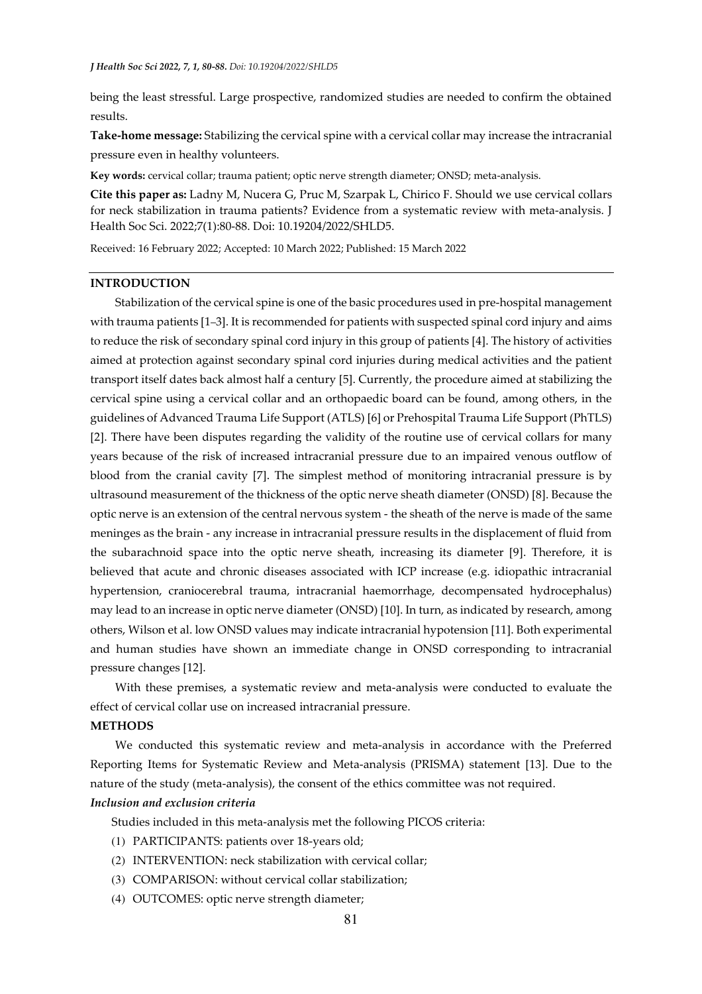being the least stressful. Large prospective, randomized studies are needed to confirm the obtained results.

**Take-home message:** Stabilizing the cervical spine with a cervical collar may increase the intracranial pressure even in healthy volunteers.

**Key words:** cervical collar; trauma patient; optic nerve strength diameter; ONSD; meta-analysis.

**Cite this paper as:** Ladny M, Nucera G, Pruc M, Szarpak L, Chirico F. Should we use cervical collars for neck stabilization in trauma patients? Evidence from a systematic review with meta-analysis. J Health Soc Sci. 2022;7(1):80-88. Doi: 10.19204/2022/SHLD5.

Received: 16 February 2022; Accepted: 10 March 2022; Published: 15 March 2022

# **INTRODUCTION**

Stabilization of the cervical spine is one of the basic procedures used in pre-hospital management with trauma patients [1–3]. It is recommended for patients with suspected spinal cord injury and aims to reduce the risk of secondary spinal cord injury in this group of patients [4]. The history of activities aimed at protection against secondary spinal cord injuries during medical activities and the patient transport itself dates back almost half a century [5]. Currently, the procedure aimed at stabilizing the cervical spine using a cervical collar and an orthopaedic board can be found, among others, in the guidelines of Advanced Trauma Life Support (ATLS) [6] or Prehospital Trauma Life Support (PhTLS) [2]. There have been disputes regarding the validity of the routine use of cervical collars for many years because of the risk of increased intracranial pressure due to an impaired venous outflow of blood from the cranial cavity [7]. The simplest method of monitoring intracranial pressure is by ultrasound measurement of the thickness of the optic nerve sheath diameter (ONSD) [8]. Because the optic nerve is an extension of the central nervous system - the sheath of the nerve is made of the same meninges as the brain - any increase in intracranial pressure results in the displacement of fluid from the subarachnoid space into the optic nerve sheath, increasing its diameter [9]. Therefore, it is believed that acute and chronic diseases associated with ICP increase (e.g. idiopathic intracranial hypertension, craniocerebral trauma, intracranial haemorrhage, decompensated hydrocephalus) may lead to an increase in optic nerve diameter (ONSD) [10]. In turn, as indicated by research, among others, Wilson et al. low ONSD values may indicate intracranial hypotension [11]. Both experimental and human studies have shown an immediate change in ONSD corresponding to intracranial pressure changes [12].

 With these premises, a systematic review and meta-analysis were conducted to evaluate the effect of cervical collar use on increased intracranial pressure.

#### **METHODS**

We conducted this systematic review and meta-analysis in accordance with the Preferred Reporting Items for Systematic Review and Meta-analysis (PRISMA) statement [13]. Due to the nature of the study (meta-analysis), the consent of the ethics committee was not required. *Inclusion and exclusion criteria* 

Studies included in this meta-analysis met the following PICOS criteria:

- (1) PARTICIPANTS: patients over 18-years old;
- (2) INTERVENTION: neck stabilization with cervical collar;
- (3) COMPARISON: without cervical collar stabilization;
- (4) OUTCOMES: optic nerve strength diameter;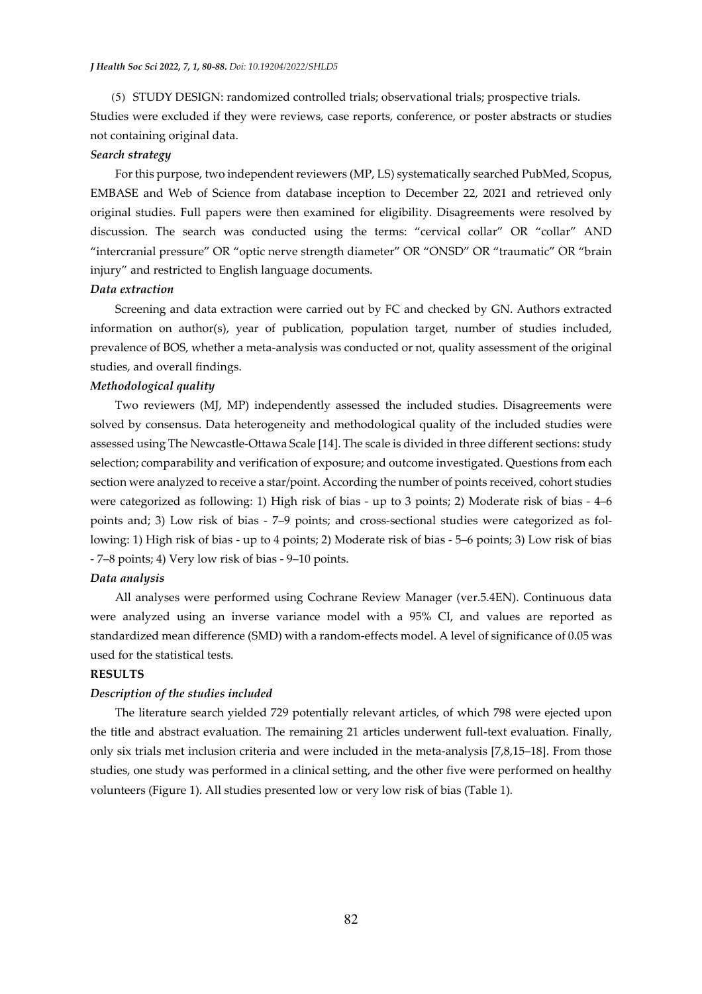(5) STUDY DESIGN: randomized controlled trials; observational trials; prospective trials.

Studies were excluded if they were reviews, case reports, conference, or poster abstracts or studies not containing original data.

#### *Search strategy*

For this purpose, two independent reviewers (MP, LS) systematically searched PubMed, Scopus, EMBASE and Web of Science from database inception to December 22, 2021 and retrieved only original studies. Full papers were then examined for eligibility. Disagreements were resolved by discussion. The search was conducted using the terms: "cervical collar" OR "collar" AND "intercranial pressure" OR "optic nerve strength diameter" OR "ONSD" OR "traumatic" OR "brain injury" and restricted to English language documents.

## *Data extraction*

Screening and data extraction were carried out by FC and checked by GN. Authors extracted information on author(s), year of publication, population target, number of studies included, prevalence of BOS, whether a meta-analysis was conducted or not, quality assessment of the original studies, and overall findings.

## *Methodological quality*

Two reviewers (MJ, MP) independently assessed the included studies. Disagreements were solved by consensus. Data heterogeneity and methodological quality of the included studies were assessed using The Newcastle-Ottawa Scale [14]. The scale is divided in three different sections: study selection; comparability and verification of exposure; and outcome investigated. Questions from each section were analyzed to receive a star/point. According the number of points received, cohort studies were categorized as following: 1) High risk of bias - up to 3 points; 2) Moderate risk of bias - 4–6 points and; 3) Low risk of bias - 7–9 points; and cross-sectional studies were categorized as following: 1) High risk of bias - up to 4 points; 2) Moderate risk of bias - 5–6 points; 3) Low risk of bias - 7–8 points; 4) Very low risk of bias - 9–10 points.

# *Data analysis*

All analyses were performed using Cochrane Review Manager (ver.5.4EN). Continuous data were analyzed using an inverse variance model with a 95% CI, and values are reported as standardized mean difference (SMD) with a random-effects model. A level of significance of 0.05 was used for the statistical tests.

#### **RESULTS**

#### *Description of the studies included*

The literature search yielded 729 potentially relevant articles, of which 798 were ejected upon the title and abstract evaluation. The remaining 21 articles underwent full-text evaluation. Finally, only six trials met inclusion criteria and were included in the meta-analysis [7,8,15–18]. From those studies, one study was performed in a clinical setting, and the other five were performed on healthy volunteers (Figure 1). All studies presented low or very low risk of bias (Table 1)*.*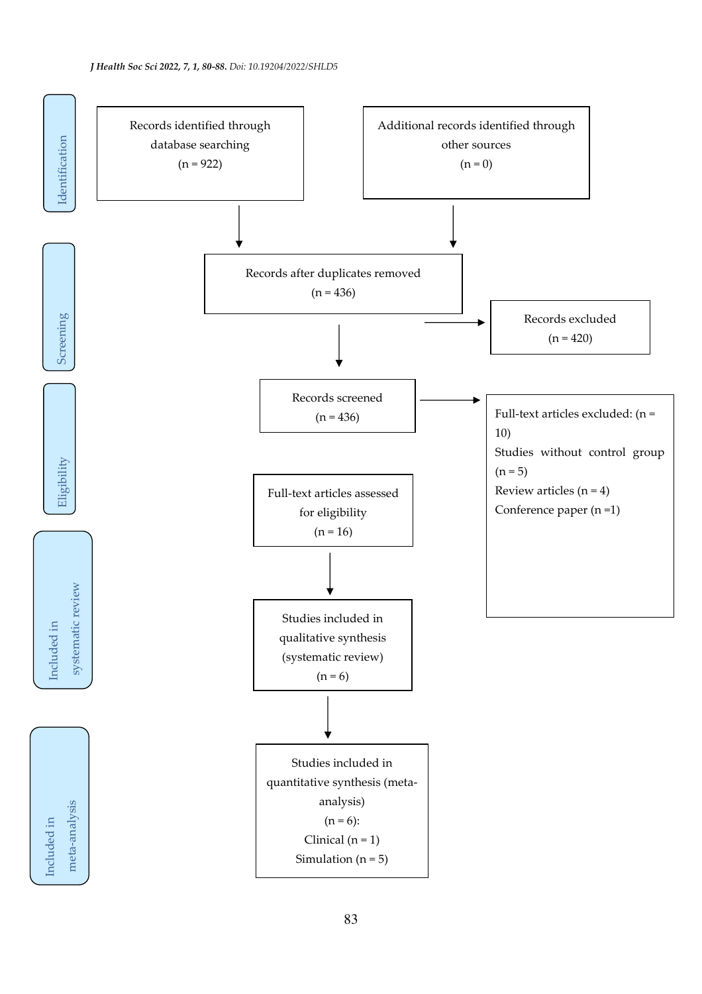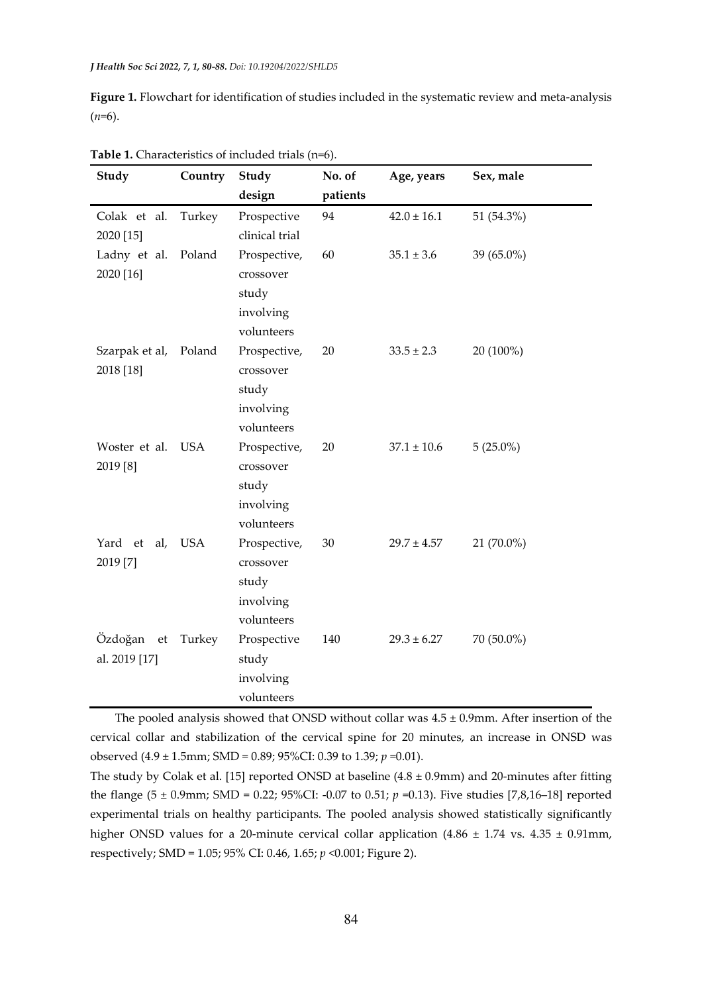**Figure 1.** Flowchart for identification of studies included in the systematic review and meta-analysis  $(n=6)$ .

| Study          | Country    | Study          | No. of   | Age, years      | Sex, male   |
|----------------|------------|----------------|----------|-----------------|-------------|
|                |            | design         | patients |                 |             |
| Colak et al.   | Turkey     | Prospective    | 94       | $42.0 \pm 16.1$ | 51 (54.3%)  |
| 2020 [15]      |            | clinical trial |          |                 |             |
| Ladny et al.   | Poland     | Prospective,   | 60       | $35.1 \pm 3.6$  | 39 (65.0%)  |
| 2020 [16]      |            | crossover      |          |                 |             |
|                |            | study          |          |                 |             |
|                |            | involving      |          |                 |             |
|                |            | volunteers     |          |                 |             |
| Szarpak et al, | Poland     | Prospective,   | 20       | $33.5 \pm 2.3$  | 20 (100%)   |
| 2018 [18]      |            | crossover      |          |                 |             |
|                |            | study          |          |                 |             |
|                |            | involving      |          |                 |             |
|                |            | volunteers     |          |                 |             |
| Woster et al.  | <b>USA</b> | Prospective,   | 20       | $37.1 \pm 10.6$ | $5(25.0\%)$ |
| 2019 [8]       |            | crossover      |          |                 |             |
|                |            | study          |          |                 |             |
|                |            | involving      |          |                 |             |
|                |            | volunteers     |          |                 |             |
| Yard et<br>al, | <b>USA</b> | Prospective,   | $30\,$   | $29.7 \pm 4.57$ | 21 (70.0%)  |
| 2019 [7]       |            | crossover      |          |                 |             |
|                |            | study          |          |                 |             |
|                |            | involving      |          |                 |             |
|                |            | volunteers     |          |                 |             |
| Özdoğan<br>et  | Turkey     | Prospective    | 140      | $29.3 \pm 6.27$ | 70 (50.0%)  |
| al. 2019 [17]  |            | study          |          |                 |             |
|                |            | involving      |          |                 |             |
|                |            | volunteers     |          |                 |             |

**Table 1.** Characteristics of included trials (n=6).

The pooled analysis showed that ONSD without collar was  $4.5 \pm 0.9$ mm. After insertion of the cervical collar and stabilization of the cervical spine for 20 minutes, an increase in ONSD was observed (4.9 ± 1.5mm; SMD = 0.89; 95%CI: 0.39 to 1.39; *p* =0.01).

The study by Colak et al. [15] reported ONSD at baseline  $(4.8 \pm 0.9$ mm) and 20-minutes after fitting the flange (5 ± 0.9mm; SMD = 0.22; 95%CI: -0.07 to 0.51; *p* =0.13). Five studies [7,8,16–18] reported experimental trials on healthy participants. The pooled analysis showed statistically significantly higher ONSD values for a 20-minute cervical collar application  $(4.86 \pm 1.74 \text{ vs. } 4.35 \pm 0.91 \text{ mm})$ , respectively; SMD = 1.05; 95% CI: 0.46, 1.65; *p* <0.001; Figure 2).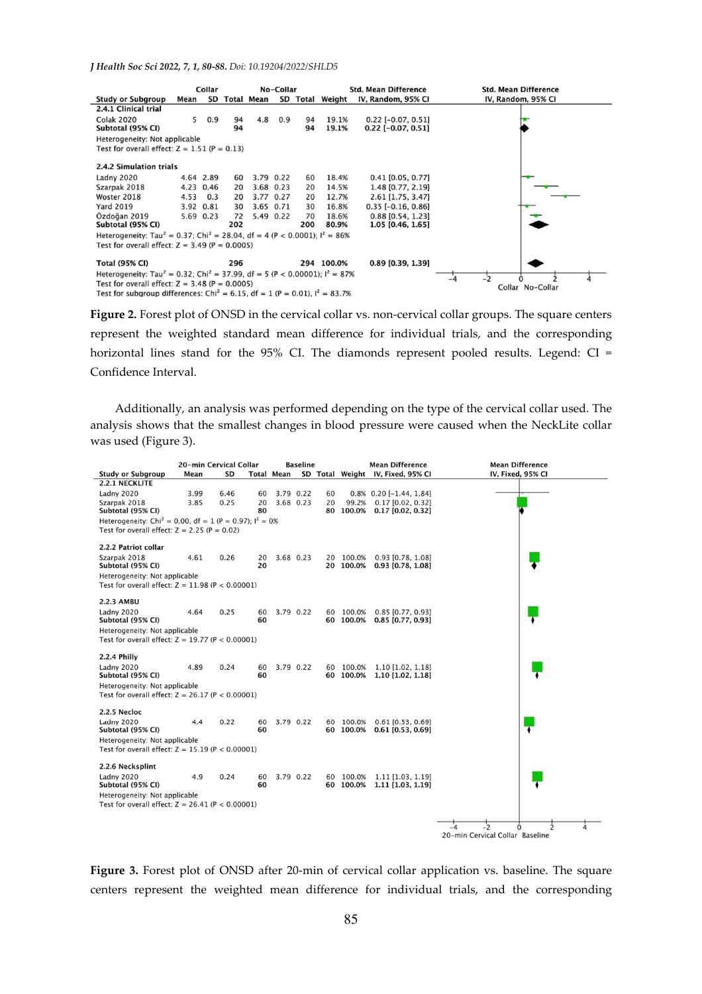*J Health Soc Sci 2022, 7, 1, 80-88. Doi: 10.19204/2022/SHLD5* 



Figure 2. Forest plot of ONSD in the cervical collar vs. non-cervical collar groups. The square centers represent the weighted standard mean difference for individual trials, and the corresponding horizontal lines stand for the 95% CI. The diamonds represent pooled results. Legend: CI = Confidence Interval.

Additionally, an analysis was performed depending on the type of the cervical collar used. The analysis shows that the smallest changes in blood pressure were caused when the NeckLite collar was used (Figure 3).



**Figure 3.** Forest plot of ONSD after 20-min of cervical collar application vs. baseline. The square centers represent the weighted mean difference for individual trials, and the corresponding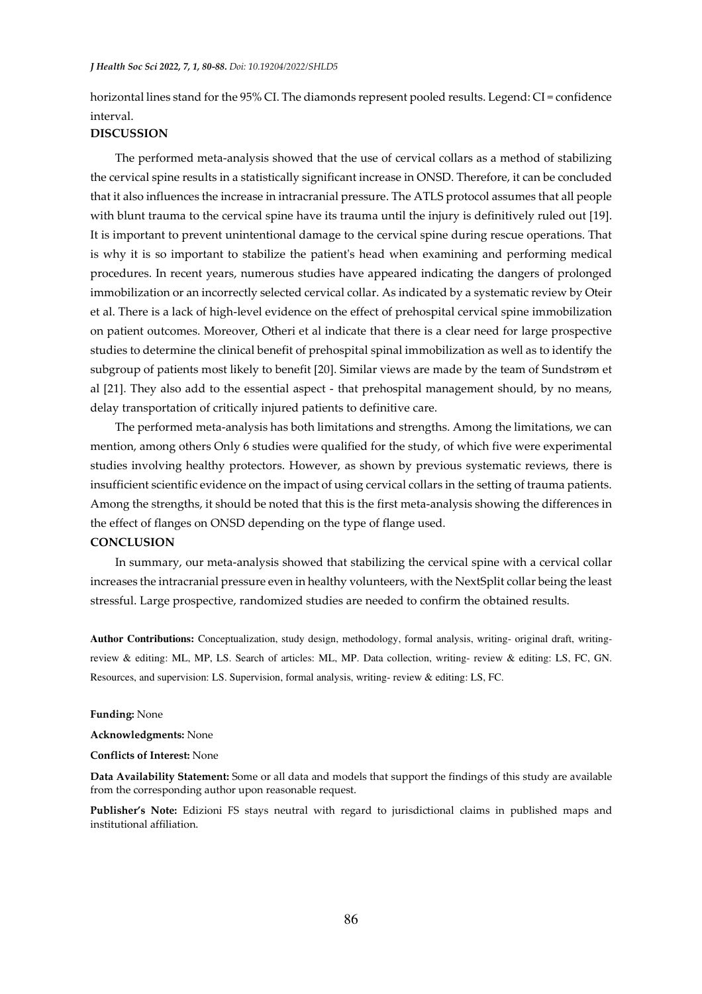horizontal lines stand for the 95% CI. The diamonds represent pooled results. Legend: CI = confidence interval.

### **DISCUSSION**

The performed meta-analysis showed that the use of cervical collars as a method of stabilizing the cervical spine results in a statistically significant increase in ONSD. Therefore, it can be concluded that it also influences the increase in intracranial pressure. The ATLS protocol assumes that all people with blunt trauma to the cervical spine have its trauma until the injury is definitively ruled out [19]. It is important to prevent unintentional damage to the cervical spine during rescue operations. That is why it is so important to stabilize the patient's head when examining and performing medical procedures. In recent years, numerous studies have appeared indicating the dangers of prolonged immobilization or an incorrectly selected cervical collar. As indicated by a systematic review by Oteir et al. There is a lack of high-level evidence on the effect of prehospital cervical spine immobilization on patient outcomes. Moreover, Otheri et al indicate that there is a clear need for large prospective studies to determine the clinical benefit of prehospital spinal immobilization as well as to identify the subgroup of patients most likely to benefit [20]. Similar views are made by the team of Sundstrøm et al [21]. They also add to the essential aspect - that prehospital management should, by no means, delay transportation of critically injured patients to definitive care.

The performed meta-analysis has both limitations and strengths. Among the limitations, we can mention, among others Only 6 studies were qualified for the study, of which five were experimental studies involving healthy protectors. However, as shown by previous systematic reviews, there is insufficient scientific evidence on the impact of using cervical collars in the setting of trauma patients. Among the strengths, it should be noted that this is the first meta-analysis showing the differences in the effect of flanges on ONSD depending on the type of flange used.

# **CONCLUSION**

In summary, our meta-analysis showed that stabilizing the cervical spine with a cervical collar increases the intracranial pressure even in healthy volunteers, with the NextSplit collar being the least stressful. Large prospective, randomized studies are needed to confirm the obtained results.

**Author Contributions:** Conceptualization, study design, methodology, formal analysis, writing- original draft, writingreview & editing: ML, MP, LS. Search of articles: ML, MP. Data collection, writing- review & editing: LS, FC, GN. Resources, and supervision: LS. Supervision, formal analysis, writing- review & editing: LS, FC.

#### **Funding:** None

**Acknowledgments:** None

#### **Conflicts of Interest:** None

**Data Availability Statement:** Some or all data and models that support the findings of this study are available from the corresponding author upon reasonable request.

**Publisher's Note:** Edizioni FS stays neutral with regard to jurisdictional claims in published maps and institutional affiliation.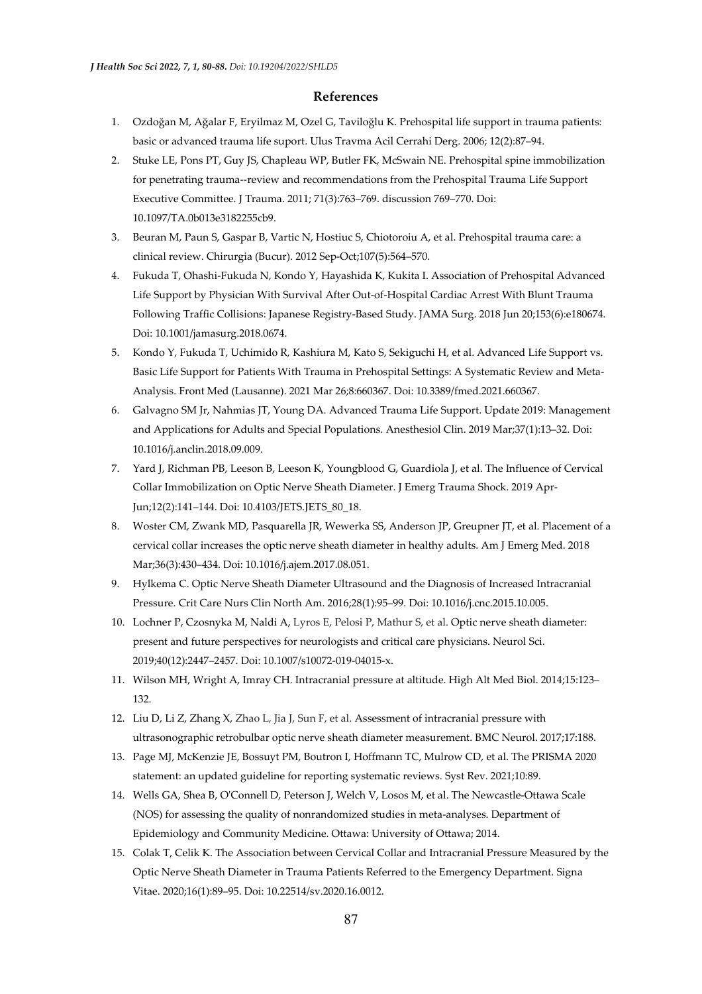# **References**

- 1. Ozdoğan M, Ağalar F, Eryilmaz M, Ozel G, Taviloğlu K. Prehospital life support in trauma patients: basic or advanced trauma life suport. Ulus Travma Acil Cerrahi Derg. 2006; 12(2):87–94.
- 2. Stuke LE, Pons PT, Guy JS, Chapleau WP, Butler FK, McSwain NE. Prehospital spine immobilization for penetrating trauma--review and recommendations from the Prehospital Trauma Life Support Executive Committee. J Trauma. 2011; 71(3):763–769. discussion 769–770. Doi: 10.1097/TA.0b013e3182255cb9.
- 3. Beuran M, Paun S, Gaspar B, Vartic N, Hostiuc S, Chiotoroiu A, et al. Prehospital trauma care: a clinical review. Chirurgia (Bucur). 2012 Sep-Oct;107(5):564–570.
- 4. Fukuda T, Ohashi-Fukuda N, Kondo Y, Hayashida K, Kukita I. Association of Prehospital Advanced Life Support by Physician With Survival After Out-of-Hospital Cardiac Arrest With Blunt Trauma Following Traffic Collisions: Japanese Registry-Based Study. JAMA Surg. 2018 Jun 20;153(6):e180674. Doi: 10.1001/jamasurg.2018.0674.
- 5. Kondo Y, Fukuda T, Uchimido R, Kashiura M, Kato S, Sekiguchi H, et al. Advanced Life Support vs. Basic Life Support for Patients With Trauma in Prehospital Settings: A Systematic Review and Meta-Analysis. Front Med (Lausanne). 2021 Mar 26;8:660367. Doi: 10.3389/fmed.2021.660367.
- 6. Galvagno SM Jr, Nahmias JT, Young DA. Advanced Trauma Life Support. Update 2019: Management and Applications for Adults and Special Populations. Anesthesiol Clin. 2019 Mar;37(1):13–32. Doi: 10.1016/j.anclin.2018.09.009.
- 7. Yard J, Richman PB, Leeson B, Leeson K, Youngblood G, Guardiola J, et al. The Influence of Cervical Collar Immobilization on Optic Nerve Sheath Diameter. J Emerg Trauma Shock. 2019 Apr-Jun;12(2):141–144. Doi: 10.4103/JETS.JETS\_80\_18.
- 8. Woster CM, Zwank MD, Pasquarella JR, Wewerka SS, Anderson JP, Greupner JT, et al. Placement of a cervical collar increases the optic nerve sheath diameter in healthy adults. Am J Emerg Med. 2018 Mar;36(3):430–434. Doi: 10.1016/j.ajem.2017.08.051.
- 9. Hylkema C. Optic Nerve Sheath Diameter Ultrasound and the Diagnosis of Increased Intracranial Pressure. Crit Care Nurs Clin North Am. 2016;28(1):95–99. Doi: 10.1016/j.cnc.2015.10.005.
- 10. Lochner P, Czosnyka M, Naldi A, Lyros E, Pelosi P, Mathur S, et al. Optic nerve sheath diameter: present and future perspectives for neurologists and critical care physicians. Neurol Sci. 2019;40(12):2447–2457. Doi: 10.1007/s10072-019-04015-x.
- 11. Wilson MH, Wright A, Imray CH. Intracranial pressure at altitude. High Alt Med Biol. 2014;15:123– 132.
- 12. Liu D, Li Z, Zhang X, Zhao L, Jia J, Sun F, et al. Assessment of intracranial pressure with ultrasonographic retrobulbar optic nerve sheath diameter measurement. BMC Neurol. 2017;17:188.
- 13. Page MJ, McKenzie JE, Bossuyt PM, Boutron I, Hoffmann TC, Mulrow CD, et al. The PRISMA 2020 statement: an updated guideline for reporting systematic reviews. Syst Rev. 2021;10:89.
- 14. Wells GA, Shea B, O'Connell D, Peterson J, Welch V, Losos M, et al. The Newcastle-Ottawa Scale (NOS) for assessing the quality of nonrandomized studies in meta-analyses. Department of Epidemiology and Community Medicine. Ottawa: University of Ottawa; 2014.
- 15. Colak T, Celik K. The Association between Cervical Collar and Intracranial Pressure Measured by the Optic Nerve Sheath Diameter in Trauma Patients Referred to the Emergency Department. Signa Vitae. 2020;16(1):89–95. Doi: 10.22514/sv.2020.16.0012.